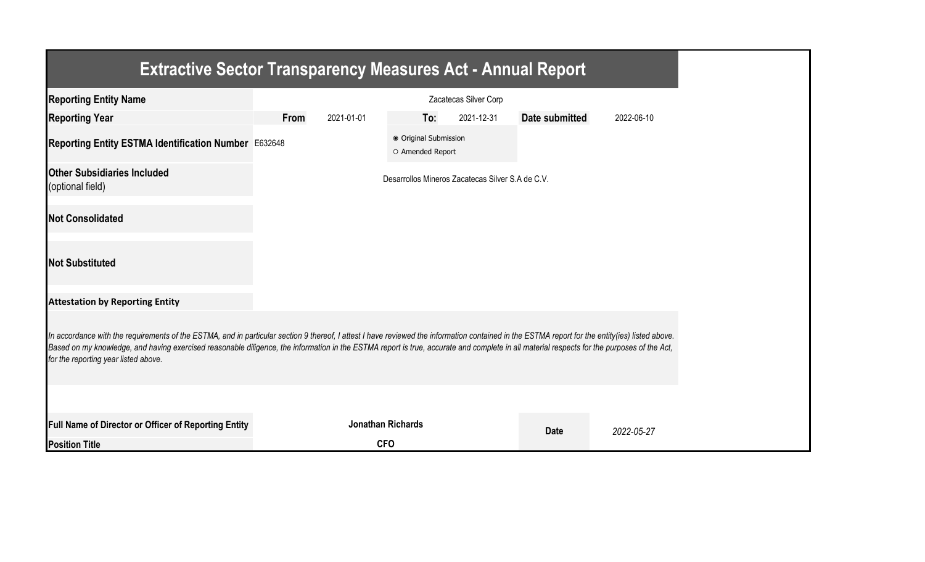| <b>Extractive Sector Transparency Measures Act - Annual Report</b>                                                                                                                                                                                                                                                                                                                                                                    |                       |            |                                           |                                                  |                |            |  |
|---------------------------------------------------------------------------------------------------------------------------------------------------------------------------------------------------------------------------------------------------------------------------------------------------------------------------------------------------------------------------------------------------------------------------------------|-----------------------|------------|-------------------------------------------|--------------------------------------------------|----------------|------------|--|
| <b>Reporting Entity Name</b>                                                                                                                                                                                                                                                                                                                                                                                                          | Zacatecas Silver Corp |            |                                           |                                                  |                |            |  |
| <b>Reporting Year</b>                                                                                                                                                                                                                                                                                                                                                                                                                 | From                  | 2021-01-01 | To:                                       | 2021-12-31                                       | Date submitted | 2022-06-10 |  |
| Reporting Entity ESTMA Identification Number E632648                                                                                                                                                                                                                                                                                                                                                                                  |                       |            | ● Original Submission<br>O Amended Report |                                                  |                |            |  |
| <b>Other Subsidiaries Included</b><br>(optional field)                                                                                                                                                                                                                                                                                                                                                                                |                       |            |                                           | Desarrollos Mineros Zacatecas Silver S.A de C.V. |                |            |  |
| <b>Not Consolidated</b>                                                                                                                                                                                                                                                                                                                                                                                                               |                       |            |                                           |                                                  |                |            |  |
| <b>Not Substituted</b>                                                                                                                                                                                                                                                                                                                                                                                                                |                       |            |                                           |                                                  |                |            |  |
| <b>Attestation by Reporting Entity</b>                                                                                                                                                                                                                                                                                                                                                                                                |                       |            |                                           |                                                  |                |            |  |
| In accordance with the requirements of the ESTMA, and in particular section 9 thereof, I attest I have reviewed the information contained in the ESTMA report for the entity(ies) listed above.<br>Based on my knowledge, and having exercised reasonable diligence, the information in the ESTMA report is true, accurate and complete in all material respects for the purposes of the Act,<br>for the reporting year listed above. |                       |            |                                           |                                                  |                |            |  |
|                                                                                                                                                                                                                                                                                                                                                                                                                                       |                       |            |                                           |                                                  |                |            |  |
| <b>Full Name of Director or Officer of Reporting Entity</b>                                                                                                                                                                                                                                                                                                                                                                           |                       |            | <b>Jonathan Richards</b>                  |                                                  | <b>Date</b>    | 2022-05-27 |  |
| <b>Position Title</b>                                                                                                                                                                                                                                                                                                                                                                                                                 |                       |            | <b>CFO</b>                                |                                                  |                |            |  |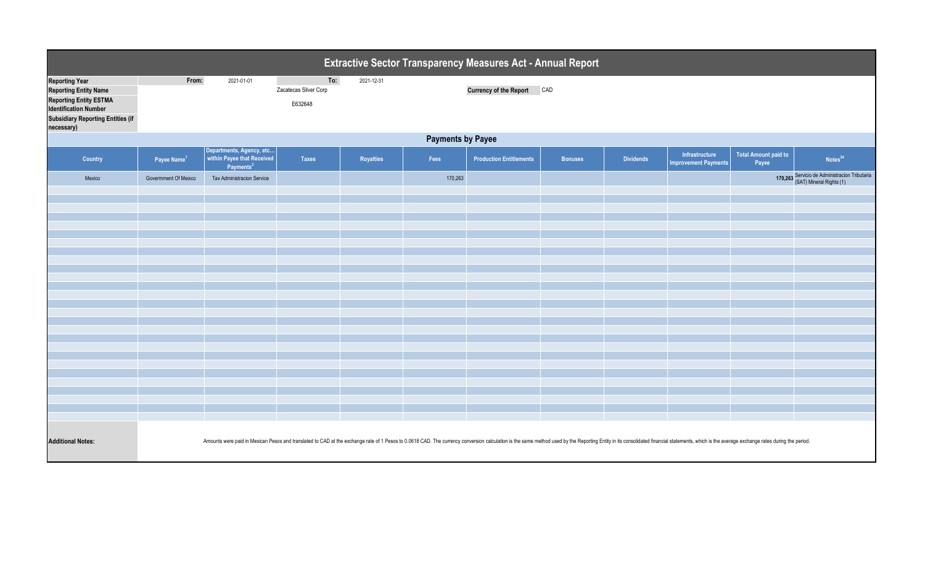| Extractive Sector Transparency Measures Act - Annual Report                                                                                                                      |                          |                                                                                                                                                                                                                                |                                         |            |         |                                |                |                  |                                               |                                      |                                                                           |  |
|----------------------------------------------------------------------------------------------------------------------------------------------------------------------------------|--------------------------|--------------------------------------------------------------------------------------------------------------------------------------------------------------------------------------------------------------------------------|-----------------------------------------|------------|---------|--------------------------------|----------------|------------------|-----------------------------------------------|--------------------------------------|---------------------------------------------------------------------------|--|
| <b>Reporting Year</b><br><b>Reporting Entity Name</b><br><b>Reporting Entity ESTMA</b><br><b>Identification Number</b><br><b>Subsidiary Reporting Entities (if</b><br>necessary) | From:                    | 2021-01-01                                                                                                                                                                                                                     | To:<br>Zacatecas Silver Corp<br>E632648 | 2021-12-31 |         | <b>Currency of the Report</b>  | CAD            |                  |                                               |                                      |                                                                           |  |
|                                                                                                                                                                                  | <b>Payments by Payee</b> |                                                                                                                                                                                                                                |                                         |            |         |                                |                |                  |                                               |                                      |                                                                           |  |
| Country                                                                                                                                                                          | Payee Name <sup>1</sup>  | Departments, Agency, etc<br>within Payee that Received<br>Payments <sup>2</sup>                                                                                                                                                | <b>Taxes</b>                            | Royalties  | Fees    | <b>Production Entitlements</b> | <b>Bonuses</b> | <b>Dividends</b> | Infrastructure<br><b>Improvement Payments</b> | <b>Total Amount paid to</b><br>Payee | Notes <sup>34</sup>                                                       |  |
| Mexico                                                                                                                                                                           | Government Of Meixco     | <b>Tax Administracion Service</b>                                                                                                                                                                                              |                                         |            | 170,263 |                                |                |                  |                                               |                                      | 170,263 Servicio de Administracion Tributaria<br>(SAT) Mineral Rights (1) |  |
|                                                                                                                                                                                  |                          |                                                                                                                                                                                                                                |                                         |            |         |                                |                |                  |                                               |                                      |                                                                           |  |
|                                                                                                                                                                                  |                          |                                                                                                                                                                                                                                |                                         |            |         |                                |                |                  |                                               |                                      |                                                                           |  |
|                                                                                                                                                                                  |                          |                                                                                                                                                                                                                                |                                         |            |         |                                |                |                  |                                               |                                      |                                                                           |  |
|                                                                                                                                                                                  |                          |                                                                                                                                                                                                                                |                                         |            |         |                                |                |                  |                                               |                                      |                                                                           |  |
|                                                                                                                                                                                  |                          |                                                                                                                                                                                                                                |                                         |            |         |                                |                |                  |                                               |                                      |                                                                           |  |
|                                                                                                                                                                                  |                          |                                                                                                                                                                                                                                |                                         |            |         |                                |                |                  |                                               |                                      |                                                                           |  |
|                                                                                                                                                                                  |                          |                                                                                                                                                                                                                                |                                         |            |         |                                |                |                  |                                               |                                      |                                                                           |  |
|                                                                                                                                                                                  |                          |                                                                                                                                                                                                                                |                                         |            |         |                                |                |                  |                                               |                                      |                                                                           |  |
|                                                                                                                                                                                  |                          |                                                                                                                                                                                                                                |                                         |            |         |                                |                |                  |                                               |                                      |                                                                           |  |
|                                                                                                                                                                                  |                          |                                                                                                                                                                                                                                |                                         |            |         |                                |                |                  |                                               |                                      |                                                                           |  |
|                                                                                                                                                                                  |                          |                                                                                                                                                                                                                                |                                         |            |         |                                |                |                  |                                               |                                      |                                                                           |  |
|                                                                                                                                                                                  |                          |                                                                                                                                                                                                                                |                                         |            |         |                                |                |                  |                                               |                                      |                                                                           |  |
|                                                                                                                                                                                  |                          |                                                                                                                                                                                                                                |                                         |            |         |                                |                |                  |                                               |                                      |                                                                           |  |
|                                                                                                                                                                                  |                          |                                                                                                                                                                                                                                |                                         |            |         |                                |                |                  |                                               |                                      |                                                                           |  |
| <b>Additional Notes:</b>                                                                                                                                                         |                          | Amounts were paid in Mexican Pesos and translated to CAD at the exchange rate of 1 Pesos to 0.0618 CAD. The currency conversion calculation is the same method used by the Reporting Entity in its consolidated financial stat |                                         |            |         |                                |                |                  |                                               |                                      |                                                                           |  |